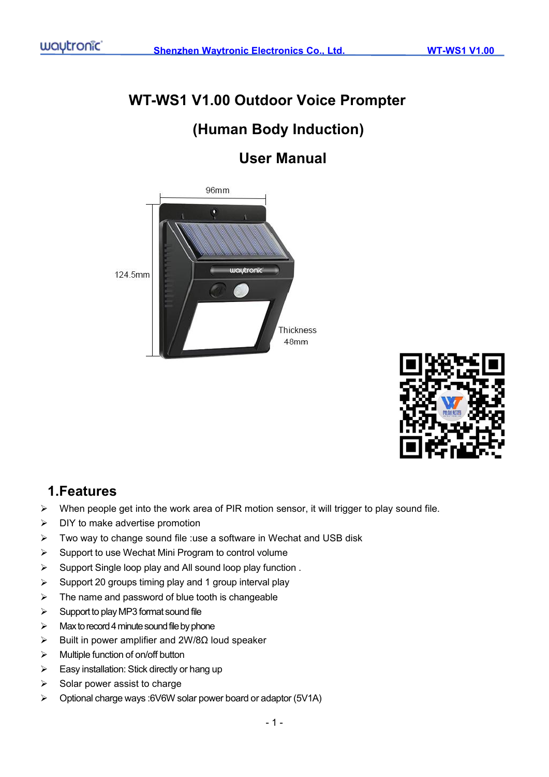# **WT-WS1 V1.00 Outdoor Voice Prompter (Human Body Induction)**

## **User Manual**





## **1.Features**

- When people get into the work area of PIR motion sensor, it will trigger to play sound file.
- $\triangleright$  DIY to make advertise promotion
- $\triangleright$  Two way to change sound file :use a software in Wechat and USB disk
- $\triangleright$  Support to use Wechat Mini Program to control volume
- $\triangleright$  Support Single loop play and All sound loop play function.
- $\triangleright$  Support 20 groups timing play and 1 group interval play
- $\triangleright$  The name and password of blue tooth is changeable
- $\triangleright$  Support to play MP3 format sound file
- $\triangleright$  Max to record 4 minute sound file by phone
- Built in power amplifier and 2W/8Ω loud speaker
- $\triangleright$  Multiple function of on/off button
- $\triangleright$  Easy installation: Stick directly or hang up
- $\triangleright$  Solar power assist to charge
- Optional charge ways :6V6W solar power board or adaptor (5V1A)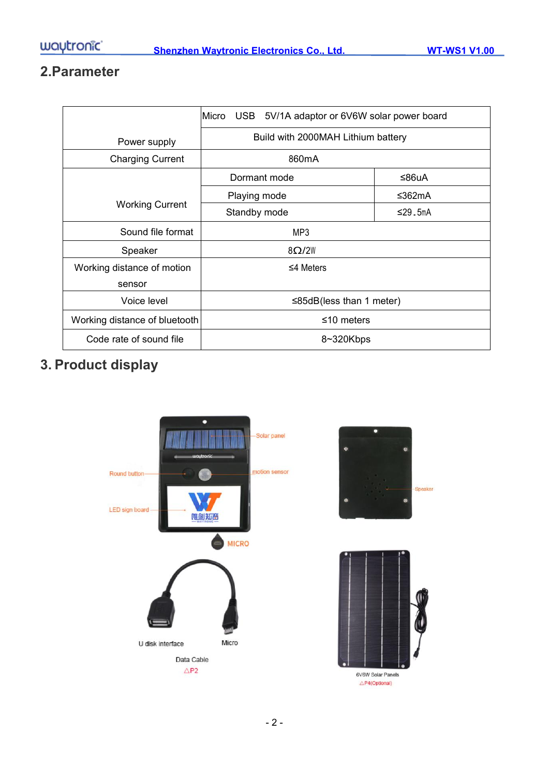## **2.Parameter**

|                               | Micro USB 5V/1A adaptor or 6V6W solar power board |         |  |  |  |
|-------------------------------|---------------------------------------------------|---------|--|--|--|
| Power supply                  | Build with 2000MAH Lithium battery                |         |  |  |  |
| <b>Charging Current</b>       | 860mA                                             |         |  |  |  |
|                               | Dormant mode<br>≤86uA                             |         |  |  |  |
|                               | Playing mode                                      | ≤362mA  |  |  |  |
| <b>Working Current</b>        | Standby mode                                      | ≤29.5mA |  |  |  |
| Sound file format             | MP3                                               |         |  |  |  |
| Speaker                       | 8Q/2W                                             |         |  |  |  |
| Working distance of motion    | $\leq$ 4 Meters                                   |         |  |  |  |
| sensor                        |                                                   |         |  |  |  |
| Voice level                   | $\leq$ 85dB(less than 1 meter)                    |         |  |  |  |
| Working distance of bluetooth | $≤10$ meters                                      |         |  |  |  |
| Code rate of sound file       | 8~320Kbps                                         |         |  |  |  |

## **3. Product display**

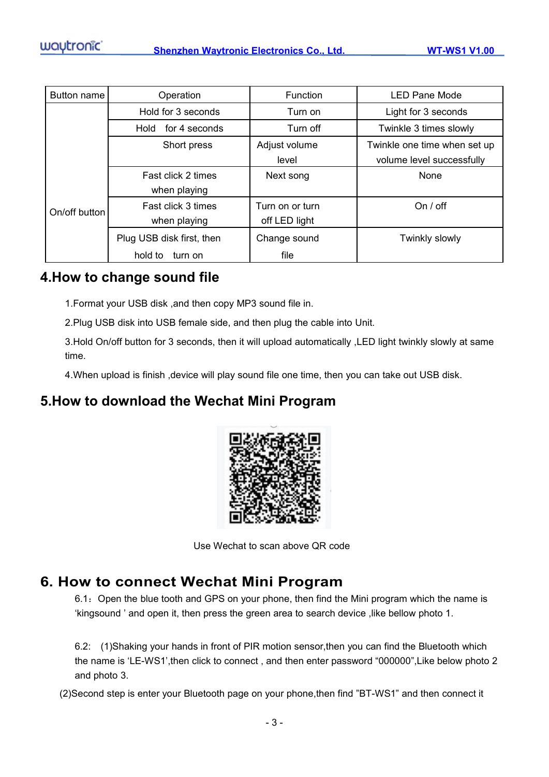| Button name   | Operation                 | <b>Function</b> | <b>LED Pane Mode</b>         |  |
|---------------|---------------------------|-----------------|------------------------------|--|
|               | Hold for 3 seconds        | Turn on         | Light for 3 seconds          |  |
|               | for 4 seconds<br>Hold     | Turn off        | Twinkle 3 times slowly       |  |
|               | Short press               | Adjust volume   | Twinkle one time when set up |  |
|               |                           | level           | volume level successfully    |  |
|               | Fast click 2 times        | Next song       | None                         |  |
|               | when playing              |                 |                              |  |
| On/off button | Fast click 3 times        | Turn on or turn | On / off                     |  |
|               | when playing              | off LED light   |                              |  |
|               | Plug USB disk first, then | Change sound    | Twinkly slowly               |  |
|               | hold to<br>turn on        | file            |                              |  |

### **4.How to change sound file**

1.Format your USB disk ,and then copy MP3 sound file in.

2.Plug USB disk into USB female side, and then plug the cable into Unit.

3.Hold On/off button for 3 seconds, then it will upload automatically ,LED light twinkly slowly at same time.

4.When upload is finish ,device will play sound file one time, then you can take out USB disk.

## **5.How to download the Wechat Mini Program**



Use Wechat to scan above QR code

## **6. How to connect Wechat Mini Program**

6.1: Open the blue tooth and GPS on your phone, then find the Mini program which the name is 'kingsound ' and open it, then press the green area to search device ,like bellow photo 1.

6.2: (1)Shaking your hands in front of PIR motion sensor,then you can find the Bluetooth which the name is'LE-WS1',then click to connect , and then enter password "000000",Like below photo 2 and photo 3.

(2)Second step is enter your Bluetooth page on your phone,then find "BT-WS1" and then connect it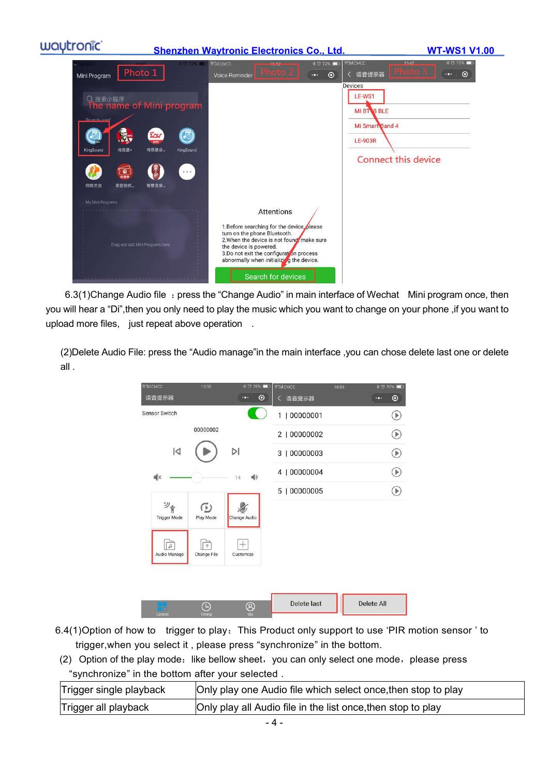

6.3(1)Change Audio file : press the "Change Audio" in main interface of Wechat Mini program once, then you will hear a "Di",then you only need to play the music which you want to change on your phone ,if you want to upload more files, just repeat above operation .

(2)Delete Audio File: press the "Audio manage"in the main interface ,you can chose delete last one or delete all .

| <b>WILL CMCC</b>          | 16:56                     | <b>术口70%■1</b>       | 特計ICMCC      | 16:56 | <b>* 5 70%</b>    |
|---------------------------|---------------------------|----------------------|--------------|-------|-------------------|
| 语音提示器                     |                           | $\odot$<br>œ         | く 语音提示器      |       | $\bullet$<br>FO.  |
| <b>Sensor Switch</b>      |                           |                      | 1   00000001 |       | Ð                 |
|                           | 00000002                  |                      | 2   00000002 |       | $_\text{}$        |
| $\overline{a}$            |                           | $\triangleright$     | 3   00000003 |       | $\circledast$     |
| щ×                        |                           | ■り<br>14             | 4   00000004 |       | $\bigcirc$        |
|                           |                           |                      | 5   00000005 |       | ₽                 |
| ツ゚<br><b>Trigger Mode</b> | ⊙<br>Play Mode            | Change Audio         |              |       |                   |
| 口<br>Audio Manage         | $\uparrow$<br>Change File | Customize            |              |       |                   |
|                           |                           |                      |              |       |                   |
| Control                   | ⊪<br>Timing               | $^{\circledR}$<br>Me | Delete last  |       | <b>Delete All</b> |

- 6.4(1) Option of how to trigger to play: This Product only support to use 'PIR motion sensor' to trigger,when you select it , please press "synchronize" in the bottom.
- (2) Option of the play mode: like bellow sheet, you can only select one mode, please press "synchronize" in the bottom after your selected .

| Trigger single playback | Only play one Audio file which select once, then stop to play |
|-------------------------|---------------------------------------------------------------|
| Trigger all playback    | Only play all Audio file in the list once, then stop to play  |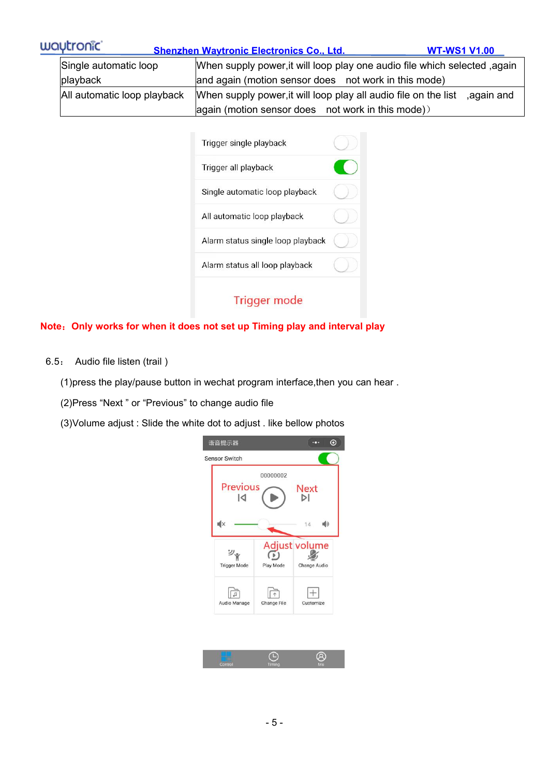| waytronic                   | <b>Shenzhen Wavtronic Electronics Co., Ltd.</b>                                                                               | <b>WT-WS1 V1.00</b> |  |  |
|-----------------------------|-------------------------------------------------------------------------------------------------------------------------------|---------------------|--|--|
| Single automatic loop       | When supply power, it will loop play one audio file which selected, again                                                     |                     |  |  |
| playback                    | and again (motion sensor does not work in this mode)                                                                          |                     |  |  |
| All automatic loop playback | When supply power, it will loop play all audio file on the list<br>$\alpha$ again (motion sensor does not work in this mode)) | again and,          |  |  |

| Trigger single playback           |  |
|-----------------------------------|--|
| Trigger all playback              |  |
| Single automatic loop playback    |  |
| All automatic loop playback       |  |
| Alarm status single loop playback |  |
| Alarm status all loop playback    |  |
| <b>Trigger mode</b>               |  |

#### **Note**:**Only works for when it does not set up Timing play and interval play**

6.5: Audio file listen (trail )

(1)press the play/pause button in wechat program interface,then you can hear.

(2)Press "Next " or "Previous" to change audio file

(3)Volume adjust : Slide the white dot to adjust . like bellow photos

|                           | 00000002    |                               |    |
|---------------------------|-------------|-------------------------------|----|
| <b>Previous</b><br>IЛ     |             | <b>Next</b><br>DI             |    |
| Ι×                        |             | $14 -$                        | ■り |
| シャ<br><b>Trigger Mode</b> | Play Mode   | Adjust volume<br>Change Audio |    |
| Audio Manage              | Change File | Customize                     |    |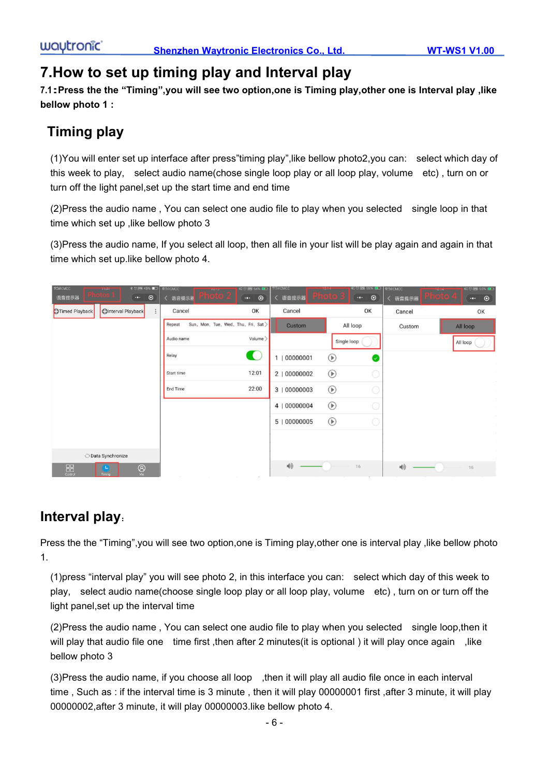## **7.How to set up timing play and Interval play**

**7.1:Press the the "Timing",you will see two option,one is Timing play,other one is Interval play ,like bellow photo 1 :**

## **Timing play**

(1)You will enterset up interface after press"timing play",like bellow photo2,you can: select which day of this week to play, select audio name(chose single loop play or all loop play, volume etc) , turn on or turn off the light panel,set up the start time and end time

(2)Press the audio name , You can select one audio file to play when you selected single loop in that time which set up ,like bellow photo 3

(3)Press the audio name, If you select all loop, then all file in your list willbe play again and again in that time which set up.like bellow photo 4.

| ※□图 45% ■□   #falcMCC<br><b>#SilCMCC</b><br><b>The Islands</b><br>$\odot$<br>语音提示器<br>$\cdots$              | <b>EMOTOR</b><br>〈 语音提示器<br>$\bullet$         | <b>ETH CMCC</b><br><b>XI 区 (PM 54% 图)</b><br>$\odot$<br>く 语音提示器 | <b>IMART</b><br>us : | <b>名包囲 55% DD</b><br>$\odot$<br>$\cdot \cdot$ | <b>12TH CMCC</b><br>く 语音提示器 | <b>料回圖 55%■D</b><br>10.14<br>$\cdot\cdot\cdot$<br>$\odot$ |
|-------------------------------------------------------------------------------------------------------------|-----------------------------------------------|-----------------------------------------------------------------|----------------------|-----------------------------------------------|-----------------------------|-----------------------------------------------------------|
| <b>OInterval Playback</b><br>Timed Playback                                                                 | Cancel                                        | OK<br>Cancel                                                    |                      | OK                                            | Cancel                      | OK                                                        |
|                                                                                                             | Repeat<br>Sun, Mon, Tue, Wed, Thu, Fri, Sat > |                                                                 | Custom               | All loop                                      | Custom                      | All loop                                                  |
|                                                                                                             | Audio name                                    | Volume >                                                        |                      | Single loop                                   |                             | All loop                                                  |
|                                                                                                             | Relay                                         | C<br>1   00000001                                               | $^{\circ}$           | Ø                                             |                             |                                                           |
|                                                                                                             | Start time                                    | 12:01<br>2   00000002                                           | $^{\circ}$           |                                               |                             |                                                           |
|                                                                                                             | End Time                                      | 22:00<br>3   00000003                                           | $^{\circledR}$       |                                               |                             |                                                           |
|                                                                                                             |                                               | 4   00000004                                                    | $^{\circ}$           |                                               |                             |                                                           |
|                                                                                                             |                                               | 5   00000005                                                    | $^{\circ}$           |                                               |                             |                                                           |
|                                                                                                             |                                               |                                                                 |                      |                                               |                             |                                                           |
| O Data Synchronize                                                                                          |                                               |                                                                 |                      |                                               |                             |                                                           |
| $\begin{array}{c} \n\text{D}\text{C} \\ \text{Control}\n\end{array}$<br>$\bigotimes_{M_{\Theta}}$<br>Timing | Tall in<br>Tall in<br>Tall 1                  | $\blacktriangleleft$<br>$\mathcal{C}^{\mathcal{C}}$             |                      | 16                                            | $\blacktriangleleft$        | 16                                                        |

## **Interval play**:

Press the the "Timing", you will see two option, one is Timing play, other one is interval play , like bellow photo 1.

(1)press "interval play" you will see photo 2, in this interface you can: select which day of this week to play, select audio name(choose single loop play or all loop play, volume etc) , turn on or turn off the light panel,set up the interval time

(2)Press the audio name , You can select one audio file to play when you selected single loop,then it will play that audio file one time first , then after 2 minutes (it is optional ) it will play once again , like bellow photo 3

(3)Press the audio name, if you choose all loop ,then it will play all audio file once in each interval time , Such as : if the interval time is 3 minute , then it will play 00000001 first ,after 3 minute, it will play 00000002,after 3 minute, it will play 00000003.like bellow photo 4.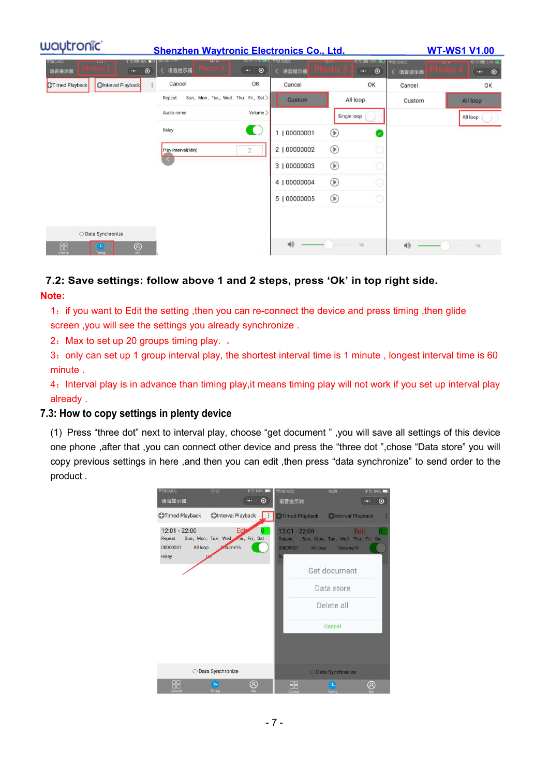| waytronic <sup>®</sup>                              | <b>Shenzhen Wavtronic Electronics Co., Ltd.</b>   |                              |                                             |                           | <b>WT-WS1 V1.00</b> |                                                        |        |                                                          |
|-----------------------------------------------------|---------------------------------------------------|------------------------------|---------------------------------------------|---------------------------|---------------------|--------------------------------------------------------|--------|----------------------------------------------------------|
| <b>#21CMCC</b><br><b>ALCOHOL:</b><br>语音提示器          | $80$ MM 45% $\blacksquare$<br>$\cdots$<br>$\odot$ | ICMCC *<br>语音提示器             | 300/301<br>$\odot$<br>$\cdot \bullet \cdot$ | <b>WALCAKE</b><br>く 语音提示器 |                     | 松口BM 55% BD 特別CMCC<br>$\odot$<br>$\cdot \bullet \cdot$ | 语音提示器  | <b>NI U 图 55% DE</b><br>$\odot$<br>$\bullet\bullet\circ$ |
| <b>OInterval Playback</b><br><b>DTimed Playback</b> |                                                   | Cancel                       | OK                                          | Cancel                    |                     | OK                                                     | Cancel | OK                                                       |
|                                                     |                                                   | Repeat                       | Sun, Mon, Tue, Wed, Thu, Fri, Sat >         | Custom                    | All loop            |                                                        | Custom | All loop                                                 |
|                                                     |                                                   | Audio name                   | Volume >                                    |                           | Single loop         |                                                        |        | All loop                                                 |
|                                                     |                                                   | Relay                        | $\bullet$                                   | 1   00000001              | $^{\circledR}$      | V                                                      |        |                                                          |
|                                                     |                                                   | Play Interval(Min)           | $\overline{2}$                              | 2   00000002              | $^{\circ}$          |                                                        |        |                                                          |
|                                                     |                                                   | $\left\langle \right\rangle$ |                                             | 3   00000003              | $^{\circ}$          |                                                        |        |                                                          |
|                                                     |                                                   |                              |                                             | 4   00000004              | $^{\circ}$          |                                                        |        |                                                          |
|                                                     |                                                   |                              |                                             | 5   00000005              | $^{\circ}$          |                                                        |        |                                                          |
|                                                     |                                                   |                              |                                             |                           |                     |                                                        |        |                                                          |
| O Data Synchronize                                  |                                                   |                              |                                             |                           |                     |                                                        |        |                                                          |
| $\frac{1}{20}$<br>Timing                            | $^{\circledR}$<br>Ma                              |                              |                                             | $\blacktriangleleft $     | 16                  |                                                        | 响      | 16                                                       |

## **7.2: Save settings: follow above 1 and 2 steps, press 'Ok' in top right side.**

**Note:**

1:if you want to Edit the setting ,then you can re-connect the device and press timing ,then glide screen ,you will see the settings you already synchronize .

2: Max to set up 20 groups timing play. .

3: only can set up 1 group interval play, the shortest interval time is 1 minute, longest interval time is 60 minute .

4: Interval play is in advance than timing play, it means timing play will not work if you set up interval play already .

#### **7.3: How to copy settings in plenty device**

(1) Press "three dot" next to interval play, choose "get document " ,you will save all settings of this device one phone ,after that ,you can connect other device and press the "three dot ",chose "Data store" you will copy previous settings in here ,and then you can edit ,then press "data synchronize" to send order to the product .

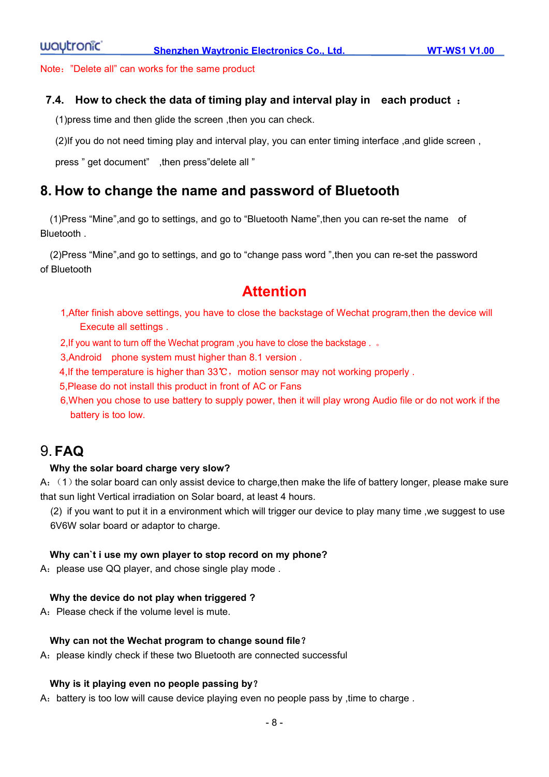Note:"Delete all" can works for the same product

#### **7.4. How to check the data of timing play and interval play in each product** :

(1)press time and then glide the screen ,then you can check.

(2)If you do not need timing play and interval play, you can enter timing interface ,and glide screen ,

press " get document" ,then press"delete all "

#### **8. How to change the name and password of Bluetooth**

(1)Press "Mine",and go to settings, and go to "Bluetooth Name",then you can re-set the name of Bluetooth .

(2)Press "Mine",and go to settings, and go to "change pass word ",then you can re-set the password of Bluetooth

### **Attention**

- 1,After finish above settings, you have to close the backstage of Wechat program,then the device will Execute all settings .
- 2,If you want to turn off the Wechat program ,you have toclose the backstage . 。
- 3,Android phone system must higher than 8.1 version .
- 4, If the temperature is higher than 33℃, motion sensor may not working properly.
- 5,Please do not install this product in front of AC or Fans
- 6,When you chose to use battery to supply power, then it will play wrong Audio file or do not work if the battery is too low.

### 9. **FAQ**

#### **Why the solar board charge very slow?**

A: (1) the solar board can only assist device to charge, then make the life of battery longer, please make sure that sun light Vertical irradiation on Solar board, at least 4 hours.

(2) ifyou want to put it in a environment which will trigger our device to play many time ,we suggest to use 6V6W solar board or adaptor to charge.

#### **Why can`t i use my own player to stop record on my phone?**

A: please use QQ player, and chose single play mode.

#### **Why the device do not play when triggered ?**

A: Please check if the volume level is mute.

#### **Why can not the Wechat program to change sound file**?

A: please kindly check if these two Bluetooth are connected successful

#### **Why is it playing even no people passing by**?

A: battery is too low will cause device playing even no people pass by , time to charge .